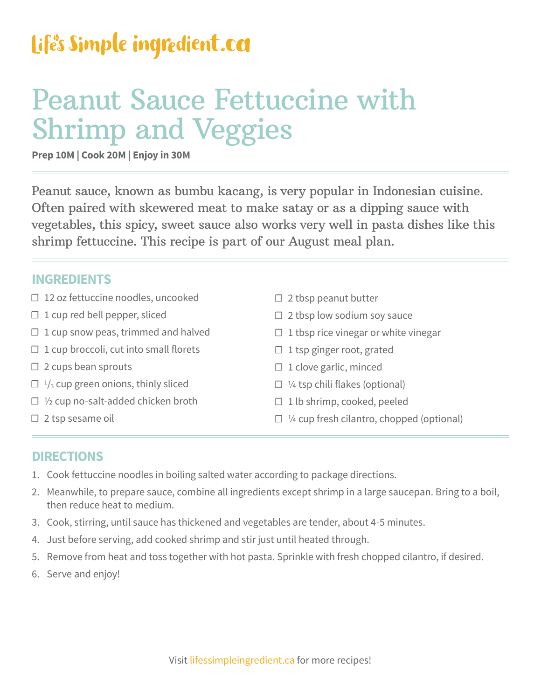### Life's Simple ingredient.ca

## Peanut Sauce Fettuccine with Shrimp and Veggies

**Prep 10M | Cook 20M | Enjoy in 30M** 

Peanut sauce, known as bumbu kacang, is very popular in Indonesian cuisine. Often paired with skewered meat to make satay or as a dipping sauce with vegetables, this spicy, sweet sauce also works very well in pasta dishes like this shrimp fettuccine. This recipe is part of our August meal plan.

#### **INGREDIENTS**

- ☐ 12 oz fettuccine noodles, uncooked
- $\Box$  1 cup red bell pepper, sliced
- $\Box$  1 cup snow peas, trimmed and halved
- $\Box$  1 cup broccoli, cut into small florets
- $\Box$  2 cups bean sprouts
- $\Box$  <sup>1</sup>/<sub>3</sub> cup green onions, thinly sliced
- □ ½ cup no-salt-added chicken broth
- □ 2 tsp sesame oil
- $\Box$  2 tbsp peanut butter
- $\Box$  2 tbsp low sodium soy sauce
- $\Box$  1 tbsp rice vinegar or white vinegar
- $\Box$  1 tsp ginger root, grated
- $\Box$  1 clove garlic, minced
- $\Box$  1/4 tsp chili flakes (optional)
- $\Box$  1 lb shrimp, cooked, peeled
- $\Box$  ¼ cup fresh cilantro, chopped (optional)

#### **DIRECTIONS**

- 1. Cook fettuccine noodles in boiling salted water according to package directions.
- 2. Meanwhile, to prepare sauce, combine all ingredients except shrimp in a large saucepan. Bring to a boil, then reduce heat to medium.
- 3. Cook, stirring, until sauce has thickened and vegetables are tender, about 4-5 minutes.
- 4. Just before serving, add cooked shrimp and stir just until heated through.
- 5. Remove from heat and toss together with hot pasta. Sprinkle with fresh chopped cilantro, if desired.
- 6. Serve and enjoy!